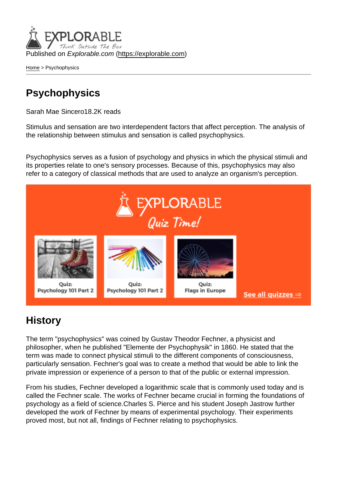Published on Explorable.com (<https://explorable.com>)

[Home](https://explorable.com/) > Psychophysics

## **Psychophysics**

Sarah Mae Sincero18.2K reads

Stimulus and sensation are two interdependent factors that affect perception. The analysis of the relationship between stimulus and sensation is called psychophysics.

Psychophysics serves as a fusion of psychology and physics in which the physical stimuli and its properties relate to one's sensory processes. Because of this, psychophysics may also refer to a category of classical methods that are used to analyze an organism's perception.

## **History**

The term "psychophysics" was coined by Gustav Theodor Fechner, a physicist and philosopher, when he published "Elemente der Psychophysik" in 1860. He stated that the term was made to connect physical stimuli to the different components of consciousness, particularly sensation. Fechner's goal was to create a method that would be able to link the private impression or experience of a person to that of the public or external impression.

From his studies, Fechner developed a logarithmic scale that is commonly used today and is called the Fechner scale. The works of Fechner became crucial in forming the foundations of psychology as a field of science.Charles S. Pierce and his student Joseph Jastrow further developed the work of Fechner by means of experimental psychology. Their experiments proved most, but not all, findings of Fechner relating to psychophysics.